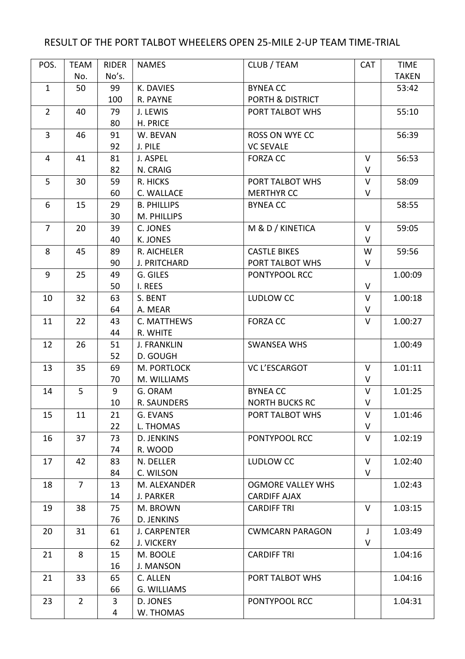## RESULT OF THE PORT TALBOT WHEELERS OPEN 25-MILE 2-UP TEAM TIME-TRIAL

| POS.           | <b>TEAM</b>    | <b>RIDER</b> | <b>NAMES</b>        | CLUB / TEAM              | <b>CAT</b>   | <b>TIME</b>  |
|----------------|----------------|--------------|---------------------|--------------------------|--------------|--------------|
|                | No.            | No's.        |                     |                          |              | <b>TAKEN</b> |
| $\mathbf{1}$   | 50             | 99           | K. DAVIES           | <b>BYNEA CC</b>          |              | 53:42        |
|                |                | 100          | R. PAYNE            | PORTH & DISTRICT         |              |              |
| $\overline{2}$ | 40             | 79           | J. LEWIS            | PORT TALBOT WHS          |              | 55:10        |
|                |                | 80           | H. PRICE            |                          |              |              |
| $\overline{3}$ | 46             | 91           | W. BEVAN            | ROSS ON WYE CC           |              | 56:39        |
|                |                | 92           | J. PILE             | <b>VC SEVALE</b>         |              |              |
| $\overline{4}$ | 41             | 81           | J. ASPEL            | <b>FORZA CC</b>          | $\vee$       | 56:53        |
|                |                | 82           | N. CRAIG            |                          | V            |              |
| 5              | 30             | 59           | R. HICKS            | PORT TALBOT WHS          | $\vee$       | 58:09        |
|                |                | 60           | C. WALLACE          | <b>MERTHYR CC</b>        | V            |              |
| 6              | 15             | 29           | <b>B. PHILLIPS</b>  | <b>BYNEA CC</b>          |              | 58:55        |
|                |                | 30           | M. PHILLIPS         |                          |              |              |
| $\overline{7}$ | 20             | 39           | C. JONES            | M & D / KINETICA         | $\vee$       | 59:05        |
|                |                | 40           | K. JONES            |                          | $\vee$       |              |
| 8              | 45             | 89           | R. AICHELER         | <b>CASTLE BIKES</b>      | W            | 59:56        |
|                |                | 90           | J. PRITCHARD        | PORT TALBOT WHS          | V            |              |
| 9              | 25             | 49           | G. GILES            | PONTYPOOL RCC            |              | 1.00:09      |
|                |                | 50           | I. REES             |                          | $\vee$       |              |
| 10             | 32             | 63           | S. BENT             | LUDLOW CC                | $\vee$       | 1.00:18      |
|                |                | 64           | A. MEAR             |                          | $\vee$       |              |
| 11             | 22             | 43           | C. MATTHEWS         | <b>FORZA CC</b>          | $\vee$       | 1.00:27      |
|                |                | 44           | R. WHITE            |                          |              |              |
| 12             | 26             | 51           | <b>J. FRANKLIN</b>  | <b>SWANSEA WHS</b>       |              | 1.00:49      |
|                |                | 52           | D. GOUGH            |                          |              |              |
| 13             | 35             | 69           | M. PORTLOCK         | <b>VC L'ESCARGOT</b>     | $\vee$       | 1.01:11      |
|                |                | 70           | M. WILLIAMS         |                          | V            |              |
| 14             | 5              | 9            | G. ORAM             | <b>BYNEA CC</b>          | V            | 1.01:25      |
|                |                | 10           | R. SAUNDERS         | <b>NORTH BUCKS RC</b>    | $\mathsf{V}$ |              |
| 15             | 11             | 21           | G. EVANS            | PORT TALBOT WHS          | V            | 1.01:46      |
|                |                | 22           | L. THOMAS           |                          | V            |              |
| 16             | 37             | 73           | D. JENKINS          | PONTYPOOL RCC            | V            | 1.02:19      |
|                |                | 74           | R. WOOD             |                          |              |              |
| 17             | 42             | 83           | N. DELLER           | LUDLOW CC                | $\vee$       | 1.02:40      |
|                |                | 84           | C. WILSON           |                          | $\vee$       |              |
| 18             | $\overline{7}$ | 13           | M. ALEXANDER        | <b>OGMORE VALLEY WHS</b> |              | 1.02:43      |
|                |                | 14           | J. PARKER           | <b>CARDIFF AJAX</b>      |              |              |
| 19             | 38             | 75           | M. BROWN            | <b>CARDIFF TRI</b>       | V            | 1.03:15      |
|                |                | 76           | D. JENKINS          |                          |              |              |
| 20             | 31             | 61           | <b>J. CARPENTER</b> | <b>CWMCARN PARAGON</b>   | $\mathsf{J}$ | 1.03:49      |
|                |                | 62           | <b>J. VICKERY</b>   |                          | V            |              |
| 21             | 8              | 15           | M. BOOLE            | <b>CARDIFF TRI</b>       |              | 1.04:16      |
|                |                | 16           | J. MANSON           |                          |              |              |
| 21             | 33             | 65           | C. ALLEN            | PORT TALBOT WHS          |              | 1.04:16      |
|                |                | 66           | G. WILLIAMS         |                          |              |              |
| 23             | $\overline{2}$ | 3            | D. JONES            | PONTYPOOL RCC            |              | 1.04:31      |
|                |                | 4            | W. THOMAS           |                          |              |              |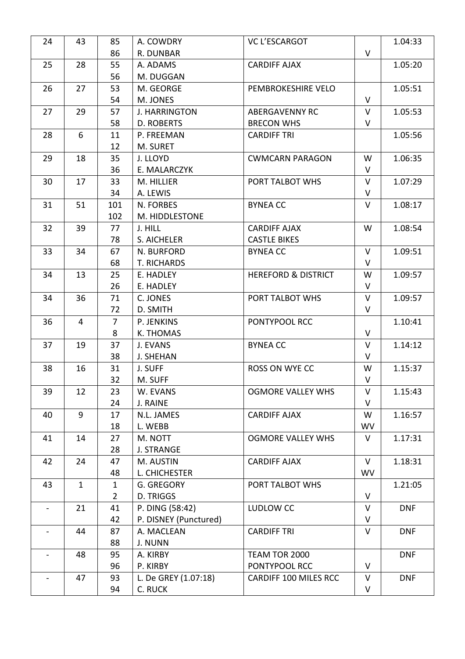| 24 | 43           | 85             | A. COWDRY             | <b>VC L'ESCARGOT</b>           |           | 1.04:33    |
|----|--------------|----------------|-----------------------|--------------------------------|-----------|------------|
|    |              | 86             | R. DUNBAR             |                                | $\vee$    |            |
| 25 | 28           | 55             | A. ADAMS              | <b>CARDIFF AJAX</b>            |           | 1.05:20    |
|    |              | 56             | M. DUGGAN             |                                |           |            |
| 26 | 27           | 53             | M. GEORGE             | PEMBROKESHIRE VELO             |           | 1.05:51    |
|    |              | 54             | M. JONES              |                                | $\vee$    |            |
| 27 | 29           | 57             | <b>J. HARRINGTON</b>  | <b>ABERGAVENNY RC</b>          | V         | 1.05:53    |
|    |              | 58             | D. ROBERTS            | <b>BRECON WHS</b>              | V         |            |
| 28 | 6            | 11             | P. FREEMAN            | <b>CARDIFF TRI</b>             |           | 1.05:56    |
|    |              | 12             | M. SURET              |                                |           |            |
| 29 | 18           | 35             | J. LLOYD              | <b>CWMCARN PARAGON</b>         | W         | 1.06:35    |
|    |              | 36             | E. MALARCZYK          |                                | $\vee$    |            |
| 30 | 17           | 33             | M. HILLIER            | PORT TALBOT WHS                | V         | 1.07:29    |
|    |              | 34             | A. LEWIS              |                                | V         |            |
| 31 | 51           | 101            | N. FORBES             | <b>BYNEA CC</b>                | $\vee$    | 1.08:17    |
|    |              | 102            | M. HIDDLESTONE        |                                |           |            |
| 32 | 39           | 77             | J. HILL               | <b>CARDIFF AJAX</b>            | W         | 1.08:54    |
|    |              | 78             | S. AICHELER           | <b>CASTLE BIKES</b>            |           |            |
| 33 | 34           | 67             | N. BURFORD            | <b>BYNEA CC</b>                | $\vee$    | 1.09:51    |
|    |              | 68             | T. RICHARDS           |                                | $\vee$    |            |
| 34 | 13           | 25             | E. HADLEY             | <b>HEREFORD &amp; DISTRICT</b> | W         | 1.09:57    |
|    |              | 26             | E. HADLEY             |                                | V         |            |
| 34 | 36           | 71             | C. JONES              | PORT TALBOT WHS                | $\vee$    | 1.09:57    |
|    |              | 72             | D. SMITH              |                                | $\vee$    |            |
| 36 | 4            | $\overline{7}$ | P. JENKINS            | PONTYPOOL RCC                  |           | 1.10:41    |
|    |              | 8              | K. THOMAS             |                                | V         |            |
| 37 | 19           | 37             | J. EVANS              | <b>BYNEA CC</b>                | $\vee$    | 1.14:12    |
|    |              | 38             | <b>J. SHEHAN</b>      |                                | V         |            |
| 38 | 16           | 31             | J. SUFF               | ROSS ON WYE CC                 | W         | 1.15:37    |
|    |              | 32             | M. SUFF               |                                | V         |            |
| 39 | 12           | 23             | W. EVANS              | <b>OGMORE VALLEY WHS</b>       | V         | 1.15:43    |
|    |              | 24             | J. RAINE              |                                | V         |            |
| 40 | 9            | 17             | N.L. JAMES            | <b>CARDIFF AJAX</b>            | W         | 1.16:57    |
|    |              | 18             | L. WEBB               |                                | <b>WV</b> |            |
| 41 | 14           | 27             | M. NOTT               | <b>OGMORE VALLEY WHS</b>       | $\vee$    | 1.17:31    |
|    |              | 28             | <b>J. STRANGE</b>     |                                |           |            |
| 42 | 24           | 47             | M. AUSTIN             | <b>CARDIFF AJAX</b>            | $\vee$    | 1.18:31    |
|    |              | 48             | L. CHICHESTER         |                                | <b>WV</b> |            |
| 43 | $\mathbf{1}$ | $\mathbf{1}$   | G. GREGORY            | PORT TALBOT WHS                |           | 1.21:05    |
|    |              | $\overline{2}$ | D. TRIGGS             |                                | $\vee$    |            |
|    | 21           | 41             | P. DING (58:42)       | LUDLOW CC                      | $\vee$    | <b>DNF</b> |
|    |              | 42             | P. DISNEY (Punctured) |                                | V         |            |
|    | 44           | 87             | A. MACLEAN            | <b>CARDIFF TRI</b>             | $\vee$    | <b>DNF</b> |
|    |              | 88             | J. NUNN               |                                |           |            |
|    | 48           | 95             | A. KIRBY              | TEAM TOR 2000                  |           | <b>DNF</b> |
|    |              | 96             | P. KIRBY              | PONTYPOOL RCC                  | V         |            |
|    | 47           | 93             | L. De GREY (1.07:18)  | <b>CARDIFF 100 MILES RCC</b>   | V         | <b>DNF</b> |
|    |              | 94             | C. RUCK               |                                | V         |            |